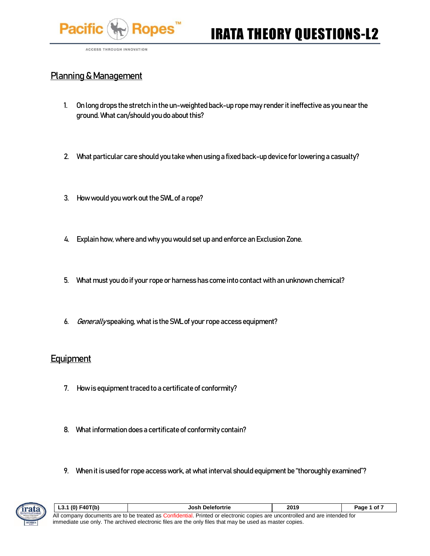

ACCESS THROUGH INNOVATION

### Planning & Management

- 1. On long drops the stretch in the un-weighted back-up rope may render it ineffective as you near the ground. What can/should you do about this?
- 2. What particular care should you take when using a fixed back-up device for lowering a casualty?
- 3. How would you work out the SWL of a rope?
- 4. Explain how, where and why you would set up and enforce an Exclusion Zone.
- 5. What must you do if your rope or harness has come into contact with an unknown chemical?
- 6. Generally speaking, what is the SWL of your rope access equipment?

#### **Equipment**

- 7. How is equipment traced to a certificate of conformity?
- 8. What information does a certificate of conformity contain?
- 9. When it is used for rope access work, at what interval should equipment be "thoroughly examined"?



| $ $ L3.1 (0) F40T(b)                                                                                                        | Josh Delefortrie | 2019 | Page 1 of 7 |  |
|-----------------------------------------------------------------------------------------------------------------------------|------------------|------|-------------|--|
| All company documents are to be treated as Confidential. Printed or electronic copies are uncontrolled and are intended for |                  |      |             |  |
| immediate use only. The archived electronic files are the only files that may be used as master copies.                     |                  |      |             |  |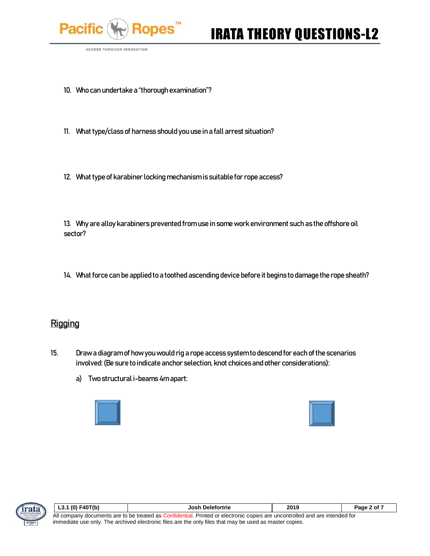

ACCESS THROUGH INNOVATION

- 10. Who can undertake a "thorough examination"?
- 11. What type/class of harness should you use in a fall arrest situation?
- 12. What type of karabiner locking mechanism is suitable for rope access?

13. Why are alloy karabiners prevented from use in some work environment such as the offshore oil sector?

14. What force can be applied to a toothed ascending device before it begins to damage the rope sheath?

#### **Rigging**

- 15. Draw a diagram of how you would rig a rope access system to descend for each of the scenarios involved: (Be sure to indicate anchor selection, knot choices and other considerations):
	- a) Two structural i-beams 4m apart:







| $L3.1(0)$ F40T(b)                                                                                                           | <b>Josh Delefortrie</b> | 2019 | Page 2 of 7 |
|-----------------------------------------------------------------------------------------------------------------------------|-------------------------|------|-------------|
| All company documents are to be treated as Confidential. Printed or electronic copies are uncontrolled and are intended for |                         |      |             |
| immediate use only. The archived electronic files are the only files that may be used as master copies.                     |                         |      |             |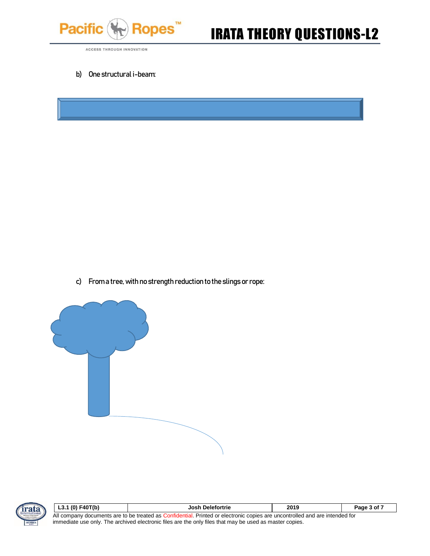

# Ropes<sup>"</sup> **IRATA THEORY QUESTIONS-L2**

ACCESS THROUGH INNOVATION

b) One structural i-beam:

c) From a tree, with no strength reduction to the slings or rope:





| $ $ L3.1 (0) F40T(b)                                                                                                        | Josh Delefortrie | 2019 | Page 3 of 7 |
|-----------------------------------------------------------------------------------------------------------------------------|------------------|------|-------------|
| All company documents are to be treated as Confidential. Printed or electronic copies are uncontrolled and are intended for |                  |      |             |
| immediate use only. The archived electronic files are the only files that may be used as master copies.                     |                  |      |             |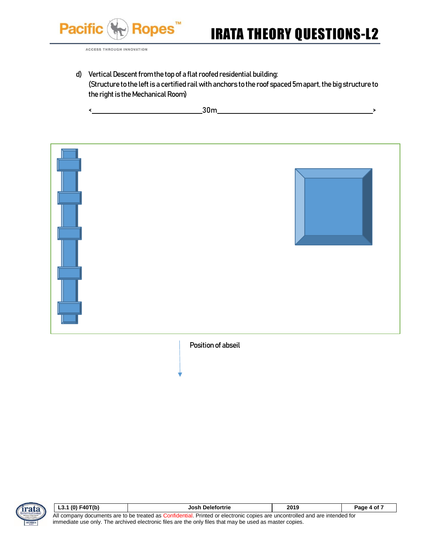

ACCESS THROUGH INNOVATION

d) Vertical Descent from the top of a flat roofed residential building: (Structure to the left is a certified rail with anchors to the roof spaced 5m apart, the big structure to the right is the Mechanical Room)

 $\longleftarrow$  30m  $\longrightarrow$ 





| L3.1 (0) F40T(b)                                                                                                            | Josh Delefortrie | 2019 | Page 4 of 7 |
|-----------------------------------------------------------------------------------------------------------------------------|------------------|------|-------------|
| All company documents are to be treated as Confidential. Printed or electronic copies are uncontrolled and are intended for |                  |      |             |
| immediate use only. The archived electronic files are the only files that may be used as master copies.                     |                  |      |             |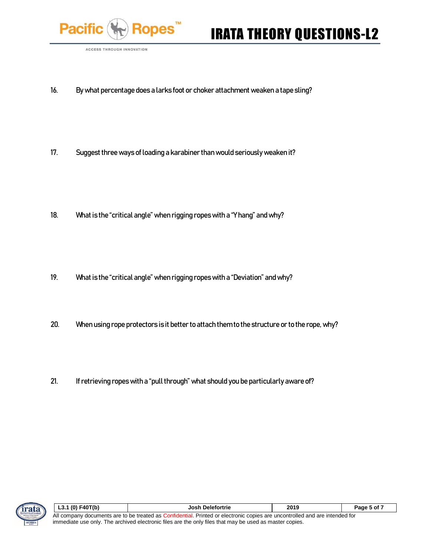

**ACCESS THROUGH INNOVATION** 

- 16. By what percentage does a larks foot or choker attachment weaken a tape sling?
- 17. Suggest three ways of loading a karabiner than would seriously weaken it?
- 18. What is the "critical angle" when rigging ropes with a "Y hang" and why?
- 19. What is the "critical angle" when rigging ropes with a "Deviation" and why?
- 20. When using rope protectors is it better to attach them to the structure or to the rope, why?
- 21. If retrieving ropes with a "pull through" what should you be particularly aware of?



| $L3.1(0)$ F40T(b)                                                                                                           | Josh Delefortrie | 2019 | Page 5 of 7 |
|-----------------------------------------------------------------------------------------------------------------------------|------------------|------|-------------|
| All company documents are to be treated as Confidential. Printed or electronic copies are uncontrolled and are intended for |                  |      |             |
| immediate use only. The archived electronic files are the only files that may be used as master copies.                     |                  |      |             |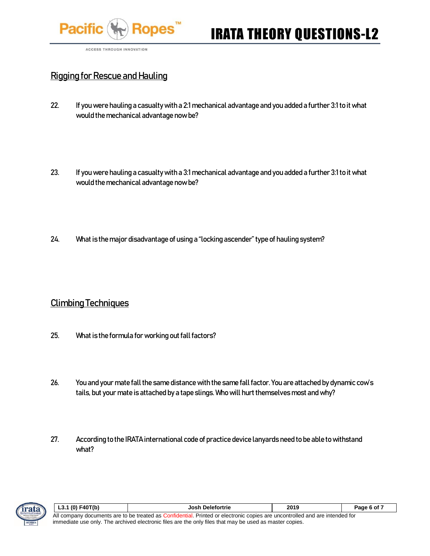

ACCESS THROUGH INNOVATION

### Rigging for Rescue and Hauling

- 22. If you were hauling a casualty with a 2:1 mechanical advantage and you added a further 3:1 to it what would the mechanical advantage now be?
- 23. If you were hauling a casualty with a 3:1 mechanical advantage and you added a further 3:1 to it what would the mechanical advantage now be?
- 24. What is the major disadvantage of using a "locking ascender" type of hauling system?

#### Climbing Techniques

- 25. What is the formula for working out fall factors?
- 26. You and your mate fall the same distance with the same fall factor. You are attached by dynamic cow's tails, but your mate is attached by a tape slings. Who will hurt themselves most and why?
- 27. According to the IRATA international code of practice device lanyards need to be able to withstand what?



| L3.1 (0) F40T(b)                                                                                                            | <b>Josh Delefortrie</b> | 2019 | Page 6 of 7 |
|-----------------------------------------------------------------------------------------------------------------------------|-------------------------|------|-------------|
| All company documents are to be treated as Confidential. Printed or electronic copies are uncontrolled and are intended for |                         |      |             |
| immediate use only. The archived electronic files are the only files that may be used as master copies.                     |                         |      |             |